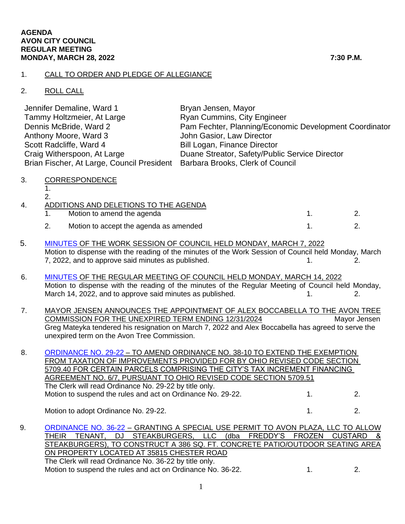## 1. CALL TO ORDER AND PLEDGE OF ALLEGIANCE

## 2. ROLL CALL

| Jennifer Demaline, Ward 1                                                   | Bryan Jensen, Mayor                                    |
|-----------------------------------------------------------------------------|--------------------------------------------------------|
| Tammy Holtzmeier, At Large                                                  | <b>Ryan Cummins, City Engineer</b>                     |
| Dennis McBride, Ward 2                                                      | Pam Fechter, Planning/Economic Development Coordinator |
| Anthony Moore, Ward 3                                                       | John Gasior, Law Director                              |
| Scott Radcliffe, Ward 4                                                     | <b>Bill Logan, Finance Director</b>                    |
| Craig Witherspoon, At Large                                                 | Duane Streator, Safety/Public Service Director         |
| Brian Fischer, At Large, Council President Barbara Brooks, Clerk of Council |                                                        |

3. CORRESPONDENCE

1. 2.

| 4. | ADDITIONS AND DELETIONS TO THE AGENDA |                                        |  |  |  |
|----|---------------------------------------|----------------------------------------|--|--|--|
|    |                                       | Motion to amend the agenda             |  |  |  |
|    |                                       | Motion to accept the agenda as amended |  |  |  |

- 5. [MINUTES](https://www.cityofavon.com/AgendaCenter/ViewFile/Minutes/_03072022-1073) OF THE WORK SESSION OF COUNCIL HELD MONDAY, MARCH 7, 2022 Motion to dispense with the reading of the minutes of the Work Session of Council held Monday, March 7, 2022, and to approve said minutes as published. The same state of the set of the set of the set of the set o
- 6. [MINUTES](https://www.cityofavon.com/AgendaCenter/ViewFile/Minutes/_03142022-1077) OF THE REGULAR MEETING OF COUNCIL HELD MONDAY, MARCH 14, 2022 Motion to dispense with the reading of the minutes of the Regular Meeting of Council held Monday, March 14, 2022, and to approve said minutes as published. 1. 1. 2.
- 7. MAYOR JENSEN ANNOUNCES THE APPOINTMENT OF ALEX BOCCABELLA TO THE AVON TREE COMMISSION FOR THE UNEXPIRED TERM ENDING 12/31/2024 Mayor Jensen Greg Mateyka tendered his resignation on March 7, 2022 and Alex Boccabella has agreed to serve the unexpired term on the Avon Tree Commission.

 8. [ORDINANCE NO. 29-22](https://www.cityofavon.com/DocumentCenter/View/7681/Ordinance-No-29-22-TIF-6-7-extended-3-11-22) – TO AMEND ORDINANCE NO. 38-10 TO EXTEND THE EXEMPTION FROM TAXATION OF IMPROVEMENTS PROVIDED FOR BY OHIO REVISED CODE SECTION 5709.40 FOR CERTAIN PARCELS COMPRISING THE CITY'S TAX INCREMENT FINANCING AGREEMENT NO. 6/7, PURSUANT TO OHIO REVISED CODE SECTION 5709.51 The Clerk will read Ordinance No. 29-22 by title only. Motion to suspend the rules and act on Ordinance No. 29-22. 1. 2.

Motion to adopt Ordinance No. 29-22. 1. 2.

9. [ORDINANCE NO. 36-22](https://www.cityofavon.com/DocumentCenter/View/7689/Ordinance-No-36-22---SUP---Avon-Plaza---Freddys-Frozen-Custard) – GRANTING A SPECIAL USE PERMIT TO AVON PLAZA, LLC TO ALLOW THEIR TENANT, DJ STEAKBURGERS, LLC (dba FREDDY'S FROZEN CUSTARD & STEAKBURGERS), TO CONSTRUCT A 386 SQ. FT. CONCRETE PATIO/OUTDOOR SEATING AREA ON PROPERTY LOCATED AT 35815 CHESTER ROAD The Clerk will read Ordinance No. 36-22 by title only. Motion to suspend the rules and act on Ordinance No. 36-22. 1. 2.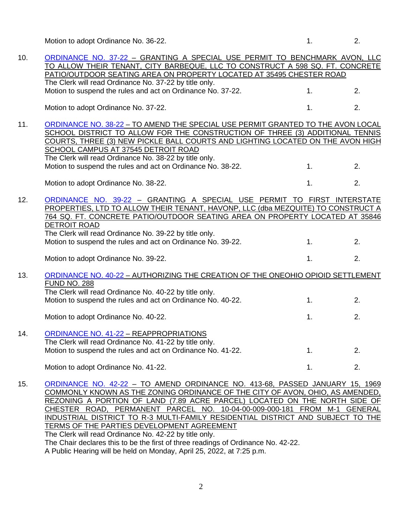Motion to adopt Ordinance No. 36-22. 1. 2.

| 10. | ORDINANCE NO. 37-22 - GRANTING A SPECIAL USE PERMIT TO BENCHMARK AVON, LLC                                                                                  |    |    |
|-----|-------------------------------------------------------------------------------------------------------------------------------------------------------------|----|----|
|     | TO ALLOW THEIR TENANT, CITY BARBEQUE, LLC TO CONSTRUCT A 598 SQ. FT. CONCRETE                                                                               |    |    |
|     | PATIO/OUTDOOR SEATING AREA ON PROPERTY LOCATED AT 35495 CHESTER ROAD                                                                                        |    |    |
|     | The Clerk will read Ordinance No. 37-22 by title only.                                                                                                      |    |    |
|     | Motion to suspend the rules and act on Ordinance No. 37-22.                                                                                                 | 1. | 2. |
|     |                                                                                                                                                             |    |    |
|     | Motion to adopt Ordinance No. 37-22.                                                                                                                        | 1. | 2. |
| 11. | ORDINANCE NO. 38-22 - TO AMEND THE SPECIAL USE PERMIT GRANTED TO THE AVON LOCAL                                                                             |    |    |
|     | SCHOOL DISTRICT TO ALLOW FOR THE CONSTRUCTION OF THREE (3) ADDITIONAL TENNIS                                                                                |    |    |
|     | COURTS, THREE (3) NEW PICKLE BALL COURTS AND LIGHTING LOCATED ON THE AVON HIGH                                                                              |    |    |
|     | SCHOOL CAMPUS AT 37545 DETROIT ROAD                                                                                                                         |    |    |
|     | The Clerk will read Ordinance No. 38-22 by title only.                                                                                                      |    |    |
|     | Motion to suspend the rules and act on Ordinance No. 38-22.                                                                                                 | 1. | 2. |
|     |                                                                                                                                                             |    |    |
|     | Motion to adopt Ordinance No. 38-22.                                                                                                                        | 1. | 2. |
|     |                                                                                                                                                             |    |    |
| 12. | ORDINANCE NO. 39-22 - GRANTING A SPECIAL USE PERMIT TO FIRST INTERSTATE<br>PROPERTIES, LTD TO ALLOW THEIR TENANT, HAVONP, LLC (dba MEZQUITE) TO CONSTRUCT A |    |    |
|     | 764 SQ. FT. CONCRETE PATIO/OUTDOOR SEATING AREA ON PROPERTY LOCATED AT 35846                                                                                |    |    |
|     | <b>DETROIT ROAD</b>                                                                                                                                         |    |    |
|     | The Clerk will read Ordinance No. 39-22 by title only.                                                                                                      |    |    |
|     | Motion to suspend the rules and act on Ordinance No. 39-22.                                                                                                 | 1. | 2. |
|     |                                                                                                                                                             |    |    |
|     | Motion to adopt Ordinance No. 39-22.                                                                                                                        | 1. | 2. |
|     |                                                                                                                                                             |    |    |
| 13. | ORDINANCE NO. 40-22 - AUTHORIZING THE CREATION OF THE ONEOHIO OPIOID SETTLEMENT                                                                             |    |    |
|     | <b>FUND NO. 288</b>                                                                                                                                         |    |    |
|     | The Clerk will read Ordinance No. 40-22 by title only.                                                                                                      |    |    |
|     | Motion to suspend the rules and act on Ordinance No. 40-22.                                                                                                 | 1. | 2. |
|     | Motion to adopt Ordinance No. 40-22.                                                                                                                        | 1. | 2. |
|     |                                                                                                                                                             |    |    |
| 14. | ORDINANCE NO. 41-22 - REAPPROPRIATIONS                                                                                                                      |    |    |
|     | The Clerk will read Ordinance No. 41-22 by title only.                                                                                                      |    |    |
|     | Motion to suspend the rules and act on Ordinance No. 41-22.                                                                                                 | 1. | 2. |
|     |                                                                                                                                                             |    |    |
|     | Motion to adopt Ordinance No. 41-22.                                                                                                                        | 1. | 2. |
| 15  | ORDINANCE NO 42-22 - TO AMEND ORDINANCE NO 413-68 PASSED JANUARY 15 1969                                                                                    |    |    |

15. [ORDINANCE NO. 42-22](https://www.cityofavon.com/DocumentCenter/View/7699/Ordinance-No-42-22---Rezoning---Concord-Village---Final) - TO AMEND ORDINANCE NO. 413-68, PASSED JANUARY 15, 1969 COMMONLY KNOWN AS THE ZONING ORDINANCE OF THE CITY OF AVON, OHIO, AS AMENDED, REZONING A PORTION OF LAND (7.89 ACRE PARCEL) LOCATED ON THE NORTH SIDE OF CHESTER ROAD, PERMANENT PARCEL NO. 10-04-00-009-000-181 FROM M-1 GENERAL INDUSTRIAL DISTRICT TO R-3 MULTI-FAMILY RESIDENTIAL DISTRICT AND SUBJECT TO THE TERMS OF THE PARTIES DEVELOPMENT AGREEMENT The Clerk will read Ordinance No. 42-22 by title only. The Chair declares this to be the first of three readings of Ordinance No. 42-22.

A Public Hearing will be held on Monday, April 25, 2022, at 7:25 p.m.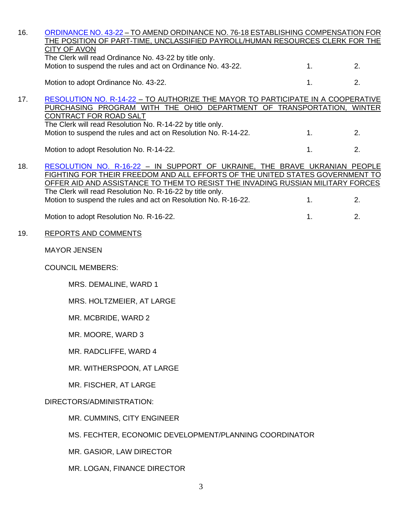| <b>CITY OF AVON</b><br>The Clerk will read Ordinance No. 43-22 by title only.<br>Motion to suspend the rules and act on Ordinance No. 43-22. | 1.                                                             | 2.                                                                                                                                                                                                                                                                                                                                                                                                                                                                                                                                                                                                                                       |
|----------------------------------------------------------------------------------------------------------------------------------------------|----------------------------------------------------------------|------------------------------------------------------------------------------------------------------------------------------------------------------------------------------------------------------------------------------------------------------------------------------------------------------------------------------------------------------------------------------------------------------------------------------------------------------------------------------------------------------------------------------------------------------------------------------------------------------------------------------------------|
| Motion to adopt Ordinance No. 43-22.                                                                                                         | 1.                                                             | 2.                                                                                                                                                                                                                                                                                                                                                                                                                                                                                                                                                                                                                                       |
| CONTRACT FOR ROAD SALT<br>The Clerk will read Resolution No. R-14-22 by title only.                                                          |                                                                |                                                                                                                                                                                                                                                                                                                                                                                                                                                                                                                                                                                                                                          |
|                                                                                                                                              | 1 <sub>1</sub>                                                 | 2.                                                                                                                                                                                                                                                                                                                                                                                                                                                                                                                                                                                                                                       |
| Motion to adopt Resolution No. R-14-22.                                                                                                      | 1.                                                             | 2.                                                                                                                                                                                                                                                                                                                                                                                                                                                                                                                                                                                                                                       |
| The Clerk will read Resolution No. R-16-22 by title only.<br>Motion to suspend the rules and act on Resolution No. R-16-22.                  | 1.                                                             | 2.                                                                                                                                                                                                                                                                                                                                                                                                                                                                                                                                                                                                                                       |
| Motion to adopt Resolution No. R-16-22.                                                                                                      | 1.                                                             | 2.                                                                                                                                                                                                                                                                                                                                                                                                                                                                                                                                                                                                                                       |
| <b>REPORTS AND COMMENTS</b>                                                                                                                  |                                                                |                                                                                                                                                                                                                                                                                                                                                                                                                                                                                                                                                                                                                                          |
| <b>MAYOR JENSEN</b>                                                                                                                          |                                                                |                                                                                                                                                                                                                                                                                                                                                                                                                                                                                                                                                                                                                                          |
| <b>COUNCIL MEMBERS:</b>                                                                                                                      |                                                                |                                                                                                                                                                                                                                                                                                                                                                                                                                                                                                                                                                                                                                          |
| MRS. DEMALINE, WARD 1                                                                                                                        |                                                                |                                                                                                                                                                                                                                                                                                                                                                                                                                                                                                                                                                                                                                          |
| MRS. HOLTZMEIER, AT LARGE                                                                                                                    |                                                                |                                                                                                                                                                                                                                                                                                                                                                                                                                                                                                                                                                                                                                          |
| MR. MCBRIDE, WARD 2                                                                                                                          |                                                                |                                                                                                                                                                                                                                                                                                                                                                                                                                                                                                                                                                                                                                          |
| MR. MOORE, WARD 3                                                                                                                            |                                                                |                                                                                                                                                                                                                                                                                                                                                                                                                                                                                                                                                                                                                                          |
| MR. RADCLIFFE, WARD 4                                                                                                                        |                                                                |                                                                                                                                                                                                                                                                                                                                                                                                                                                                                                                                                                                                                                          |
| MR. WITHERSPOON, AT LARGE                                                                                                                    |                                                                |                                                                                                                                                                                                                                                                                                                                                                                                                                                                                                                                                                                                                                          |
| MR. FISCHER, AT LARGE                                                                                                                        |                                                                |                                                                                                                                                                                                                                                                                                                                                                                                                                                                                                                                                                                                                                          |
| DIRECTORS/ADMINISTRATION:                                                                                                                    |                                                                |                                                                                                                                                                                                                                                                                                                                                                                                                                                                                                                                                                                                                                          |
| MR. CUMMINS, CITY ENGINEER                                                                                                                   |                                                                |                                                                                                                                                                                                                                                                                                                                                                                                                                                                                                                                                                                                                                          |
|                                                                                                                                              |                                                                |                                                                                                                                                                                                                                                                                                                                                                                                                                                                                                                                                                                                                                          |
| MR. GASIOR, LAW DIRECTOR                                                                                                                     |                                                                |                                                                                                                                                                                                                                                                                                                                                                                                                                                                                                                                                                                                                                          |
| MR. LOGAN, FINANCE DIRECTOR                                                                                                                  |                                                                |                                                                                                                                                                                                                                                                                                                                                                                                                                                                                                                                                                                                                                          |
|                                                                                                                                              | Motion to suspend the rules and act on Resolution No. R-14-22. | ORDINANCE NO. 43-22 - TO AMEND ORDINANCE NO. 76-18 ESTABLISHING COMPENSATION FOR<br>THE POSITION OF PART-TIME, UNCLASSIFIED PAYROLL/HUMAN RESOURCES CLERK FOR THE<br>RESOLUTION NO. R-14-22 - TO AUTHORIZE THE MAYOR TO PARTICIPATE IN A COOPERATIVE<br>PURCHASING PROGRAM WITH THE OHIO DEPARTMENT OF TRANSPORTATION, WINTER<br>RESOLUTION NO. R-16-22 - IN SUPPORT OF UKRAINE, THE BRAVE UKRANIAN PEOPLE<br>FIGHTING FOR THEIR FREEDOM AND ALL EFFORTS OF THE UNITED STATES GOVERNMENT TO<br>OFFER AID AND ASSISTANCE TO THEM TO RESIST THE INVADING RUSSIAN MILITARY FORCES<br>MS. FECHTER, ECONOMIC DEVELOPMENT/PLANNING COORDINATOR |